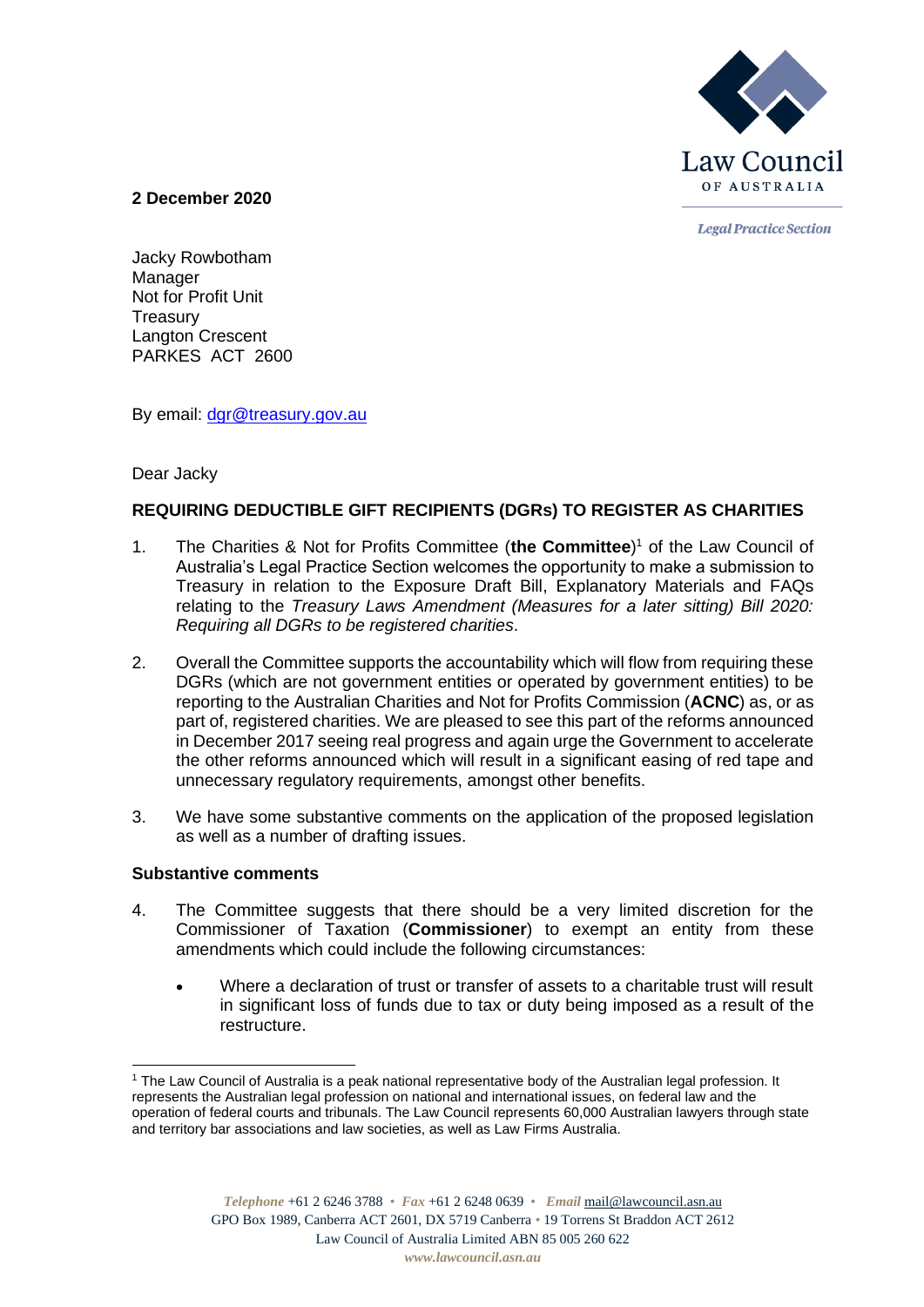

**Legal Practice Section** 

#### **2 December 2020**

Jacky Rowbotham Manager Not for Profit Unit **Treasury** Langton Crescent PARKES ACT 2600

By email: [dgr@treasury.gov.au](mailto:dgr@treasury.gov.au)

## Dear Jacky

# **REQUIRING DEDUCTIBLE GIFT RECIPIENTS (DGRs) TO REGISTER AS CHARITIES**

- 1. The Charities & Not for Profits Committee (**the Committee**) <sup>1</sup> of the Law Council of Australia's Legal Practice Section welcomes the opportunity to make a submission to Treasury in relation to the Exposure Draft Bill, Explanatory Materials and FAQs relating to the *Treasury Laws Amendment (Measures for a later sitting) Bill 2020: Requiring all DGRs to be registered charities*.
- 2. Overall the Committee supports the accountability which will flow from requiring these DGRs (which are not government entities or operated by government entities) to be reporting to the Australian Charities and Not for Profits Commission (**ACNC**) as, or as part of, registered charities. We are pleased to see this part of the reforms announced in December 2017 seeing real progress and again urge the Government to accelerate the other reforms announced which will result in a significant easing of red tape and unnecessary regulatory requirements, amongst other benefits.
- 3. We have some substantive comments on the application of the proposed legislation as well as a number of drafting issues.

#### **Substantive comments**

- 4. The Committee suggests that there should be a very limited discretion for the Commissioner of Taxation (**Commissioner**) to exempt an entity from these amendments which could include the following circumstances:
	- Where a declaration of trust or transfer of assets to a charitable trust will result in significant loss of funds due to tax or duty being imposed as a result of the restructure.

<sup>&</sup>lt;sup>1</sup> The Law Council of Australia is a peak national representative body of the Australian legal profession. It represents the Australian legal profession on national and international issues, on federal law and the operation of federal courts and tribunals. The Law Council represents 60,000 Australian lawyers through state and territory bar associations and law societies, as well as Law Firms Australia.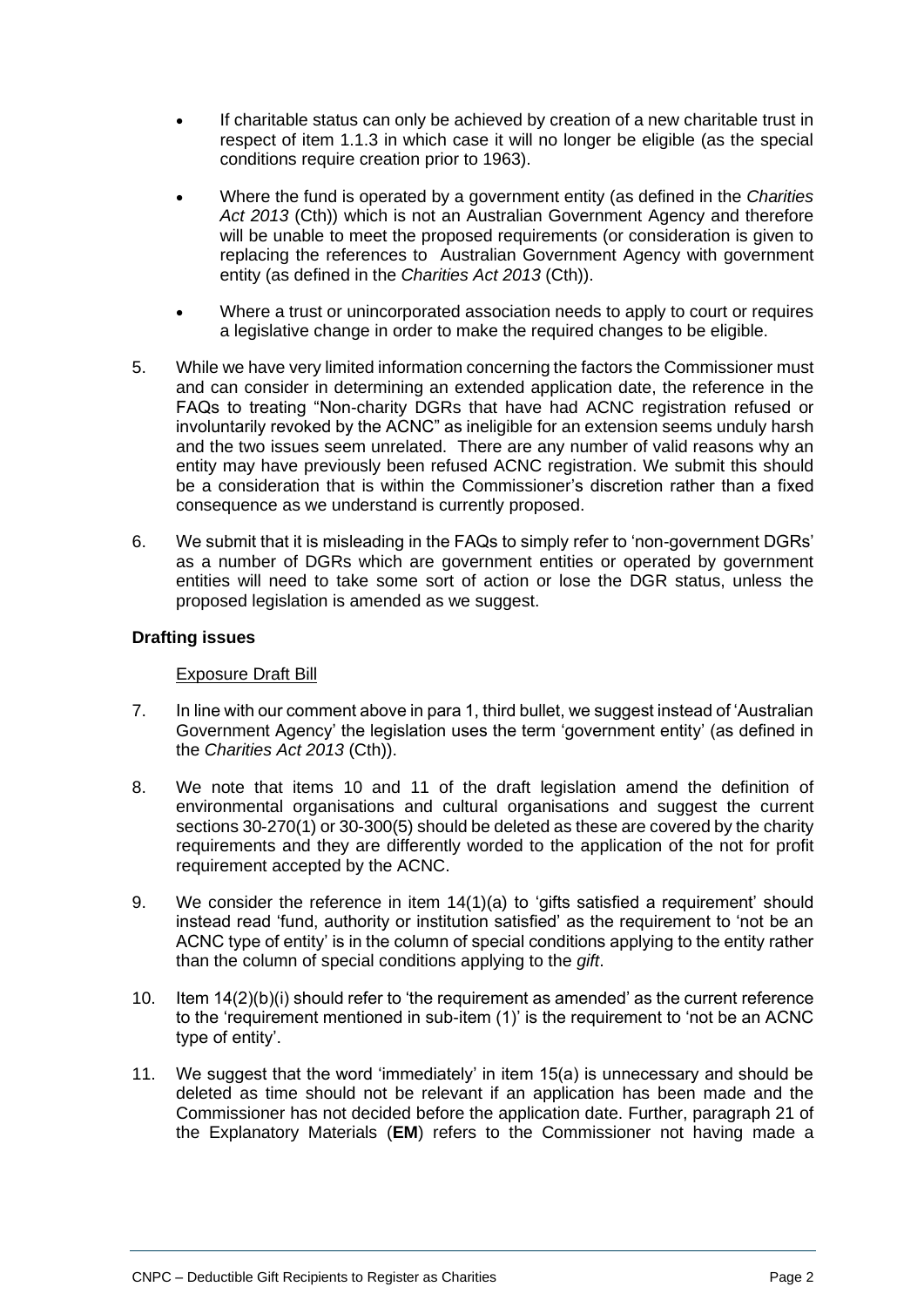- If charitable status can only be achieved by creation of a new charitable trust in respect of item 1.1.3 in which case it will no longer be eligible (as the special conditions require creation prior to 1963).
- Where the fund is operated by a government entity (as defined in the *Charities Act 2013* (Cth)) which is not an Australian Government Agency and therefore will be unable to meet the proposed requirements (or consideration is given to replacing the references to Australian Government Agency with government entity (as defined in the *Charities Act 2013* (Cth)).
- Where a trust or unincorporated association needs to apply to court or requires a legislative change in order to make the required changes to be eligible.
- 5. While we have very limited information concerning the factors the Commissioner must and can consider in determining an extended application date, the reference in the FAQs to treating "Non-charity DGRs that have had ACNC registration refused or involuntarily revoked by the ACNC" as ineligible for an extension seems unduly harsh and the two issues seem unrelated. There are any number of valid reasons why an entity may have previously been refused ACNC registration. We submit this should be a consideration that is within the Commissioner's discretion rather than a fixed consequence as we understand is currently proposed.
- 6. We submit that it is misleading in the FAQs to simply refer to 'non-government DGRs' as a number of DGRs which are government entities or operated by government entities will need to take some sort of action or lose the DGR status, unless the proposed legislation is amended as we suggest.

#### **Drafting issues**

#### Exposure Draft Bill

- 7. In line with our comment above in para 1, third bullet, we suggest instead of 'Australian Government Agency' the legislation uses the term 'government entity' (as defined in the *Charities Act 2013* (Cth)).
- 8. We note that items 10 and 11 of the draft legislation amend the definition of environmental organisations and cultural organisations and suggest the current sections 30-270(1) or 30-300(5) should be deleted as these are covered by the charity requirements and they are differently worded to the application of the not for profit requirement accepted by the ACNC.
- 9. We consider the reference in item 14(1)(a) to 'gifts satisfied a requirement' should instead read 'fund, authority or institution satisfied' as the requirement to 'not be an ACNC type of entity' is in the column of special conditions applying to the entity rather than the column of special conditions applying to the *gift*.
- 10. Item 14(2)(b)(i) should refer to 'the requirement as amended' as the current reference to the 'requirement mentioned in sub-item (1)' is the requirement to 'not be an ACNC type of entity'.
- 11. We suggest that the word 'immediately' in item 15(a) is unnecessary and should be deleted as time should not be relevant if an application has been made and the Commissioner has not decided before the application date. Further, paragraph 21 of the Explanatory Materials (**EM**) refers to the Commissioner not having made a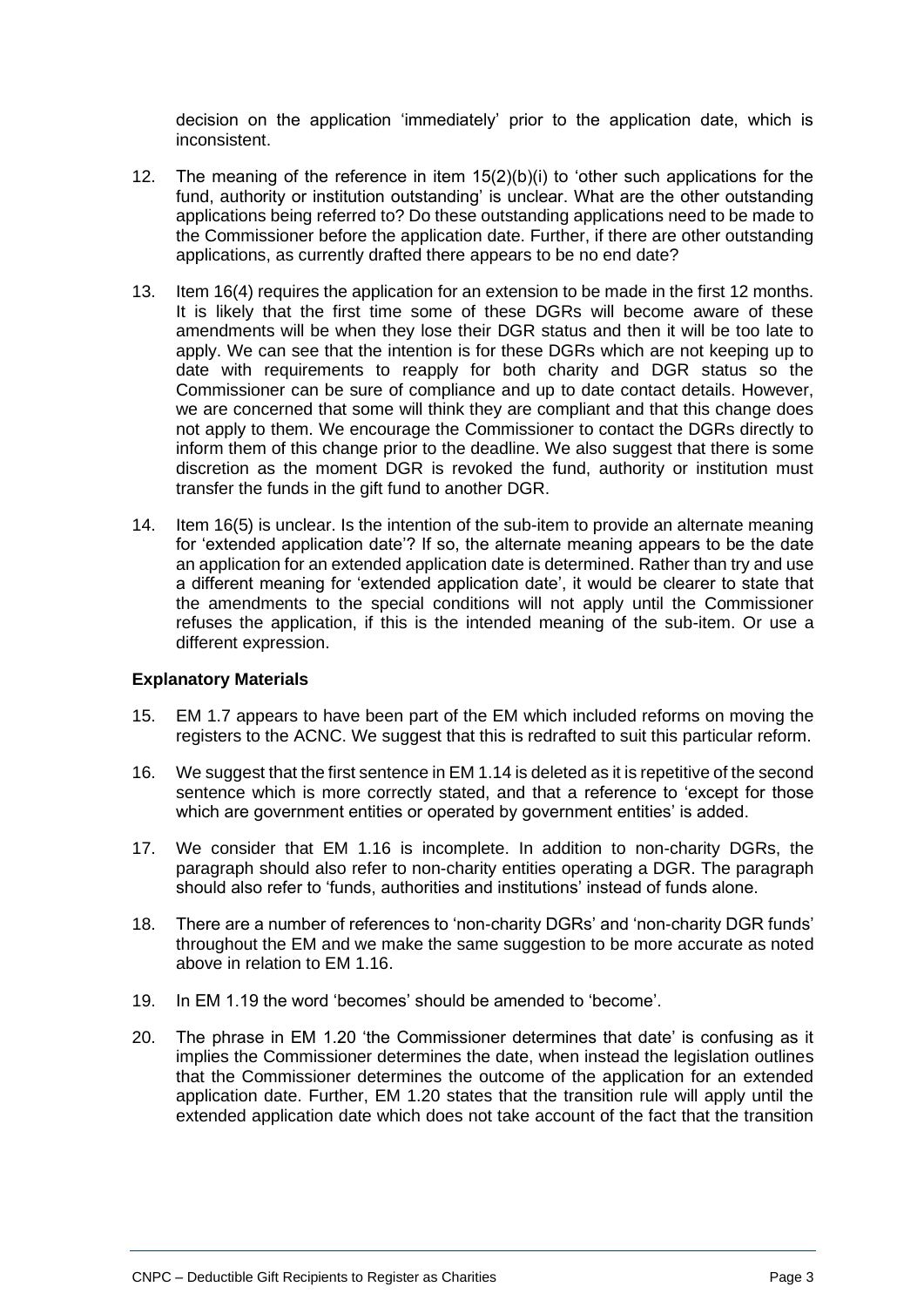decision on the application 'immediately' prior to the application date, which is inconsistent.

- 12. The meaning of the reference in item 15(2)(b)(i) to 'other such applications for the fund, authority or institution outstanding' is unclear. What are the other outstanding applications being referred to? Do these outstanding applications need to be made to the Commissioner before the application date. Further, if there are other outstanding applications, as currently drafted there appears to be no end date?
- 13. Item 16(4) requires the application for an extension to be made in the first 12 months. It is likely that the first time some of these DGRs will become aware of these amendments will be when they lose their DGR status and then it will be too late to apply. We can see that the intention is for these DGRs which are not keeping up to date with requirements to reapply for both charity and DGR status so the Commissioner can be sure of compliance and up to date contact details. However, we are concerned that some will think they are compliant and that this change does not apply to them. We encourage the Commissioner to contact the DGRs directly to inform them of this change prior to the deadline. We also suggest that there is some discretion as the moment DGR is revoked the fund, authority or institution must transfer the funds in the gift fund to another DGR.
- 14. Item 16(5) is unclear. Is the intention of the sub-item to provide an alternate meaning for 'extended application date'? If so, the alternate meaning appears to be the date an application for an extended application date is determined. Rather than try and use a different meaning for 'extended application date', it would be clearer to state that the amendments to the special conditions will not apply until the Commissioner refuses the application, if this is the intended meaning of the sub-item. Or use a different expression.

#### **Explanatory Materials**

- 15. EM 1.7 appears to have been part of the EM which included reforms on moving the registers to the ACNC. We suggest that this is redrafted to suit this particular reform.
- 16. We suggest that the first sentence in EM 1.14 is deleted as it is repetitive of the second sentence which is more correctly stated, and that a reference to 'except for those which are government entities or operated by government entities' is added.
- 17. We consider that EM 1.16 is incomplete. In addition to non-charity DGRs, the paragraph should also refer to non-charity entities operating a DGR. The paragraph should also refer to 'funds, authorities and institutions' instead of funds alone.
- 18. There are a number of references to 'non-charity DGRs' and 'non-charity DGR funds' throughout the EM and we make the same suggestion to be more accurate as noted above in relation to FM 1.16.
- 19. In EM 1.19 the word 'becomes' should be amended to 'become'.
- 20. The phrase in EM 1.20 'the Commissioner determines that date' is confusing as it implies the Commissioner determines the date, when instead the legislation outlines that the Commissioner determines the outcome of the application for an extended application date. Further, EM 1.20 states that the transition rule will apply until the extended application date which does not take account of the fact that the transition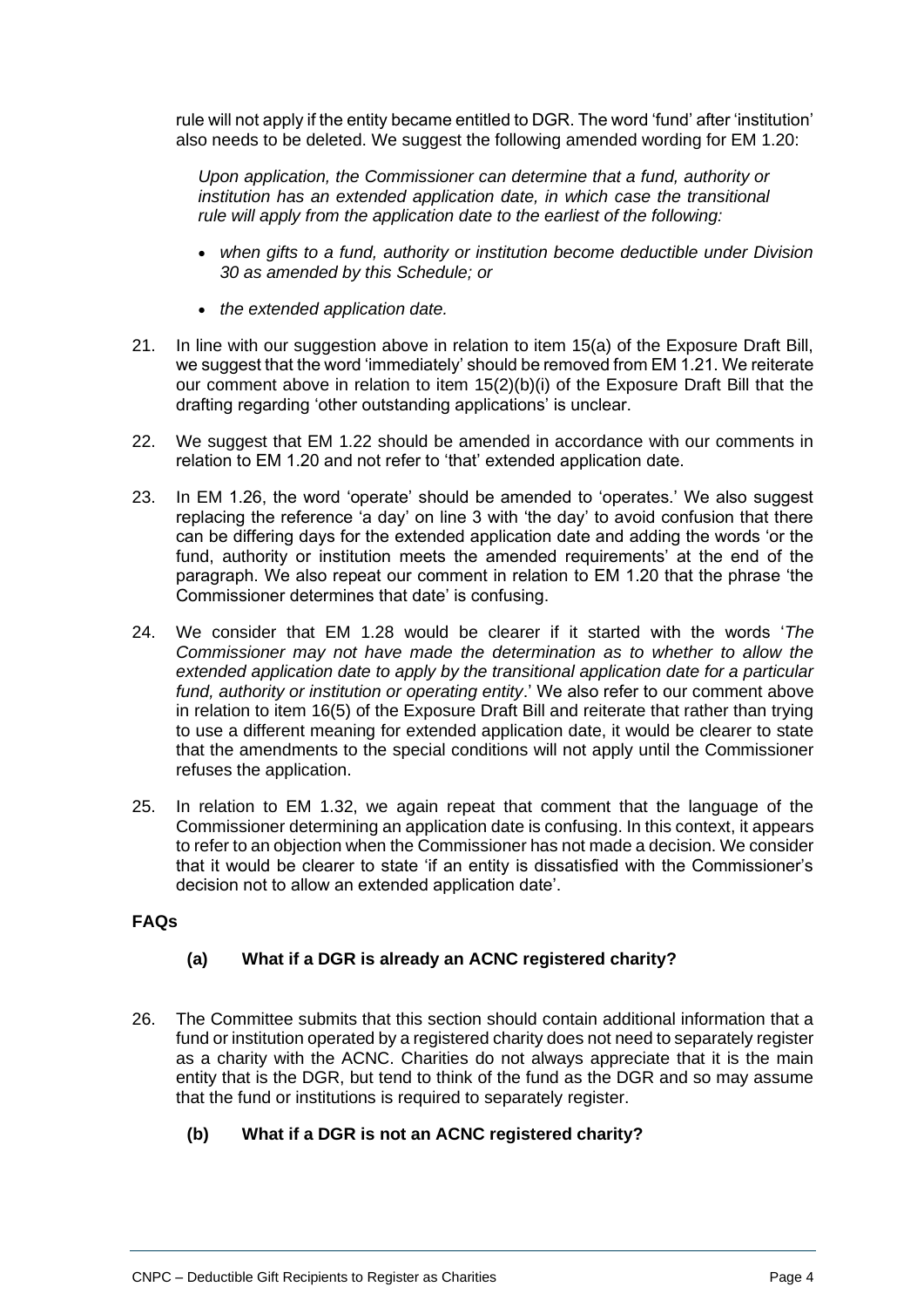rule will not apply if the entity became entitled to DGR. The word 'fund' after 'institution' also needs to be deleted. We suggest the following amended wording for EM 1.20:

*Upon application, the Commissioner can determine that a fund, authority or institution has an extended application date, in which case the transitional rule will apply from the application date to the earliest of the following:*

- *when gifts to a fund, authority or institution become deductible under Division 30 as amended by this Schedule; or*
- *the extended application date.*
- 21. In line with our suggestion above in relation to item 15(a) of the Exposure Draft Bill, we suggest that the word 'immediately' should be removed from EM 1.21. We reiterate our comment above in relation to item 15(2)(b)(i) of the Exposure Draft Bill that the drafting regarding 'other outstanding applications' is unclear.
- 22. We suggest that EM 1.22 should be amended in accordance with our comments in relation to EM 1.20 and not refer to 'that' extended application date.
- 23. In EM 1.26, the word 'operate' should be amended to 'operates.' We also suggest replacing the reference 'a day' on line 3 with 'the day' to avoid confusion that there can be differing days for the extended application date and adding the words 'or the fund, authority or institution meets the amended requirements' at the end of the paragraph. We also repeat our comment in relation to EM 1.20 that the phrase 'the Commissioner determines that date' is confusing.
- 24. We consider that EM 1.28 would be clearer if it started with the words '*The Commissioner may not have made the determination as to whether to allow the extended application date to apply by the transitional application date for a particular fund, authority or institution or operating entity*.' We also refer to our comment above in relation to item 16(5) of the Exposure Draft Bill and reiterate that rather than trying to use a different meaning for extended application date, it would be clearer to state that the amendments to the special conditions will not apply until the Commissioner refuses the application.
- 25. In relation to EM 1.32, we again repeat that comment that the language of the Commissioner determining an application date is confusing. In this context, it appears to refer to an objection when the Commissioner has not made a decision. We consider that it would be clearer to state 'if an entity is dissatisfied with the Commissioner's decision not to allow an extended application date'.

## **FAQs**

## **(a) What if a DGR is already an ACNC registered charity?**

26. The Committee submits that this section should contain additional information that a fund or institution operated by a registered charity does not need to separately register as a charity with the ACNC. Charities do not always appreciate that it is the main entity that is the DGR, but tend to think of the fund as the DGR and so may assume that the fund or institutions is required to separately register.

## **(b) What if a DGR is not an ACNC registered charity?**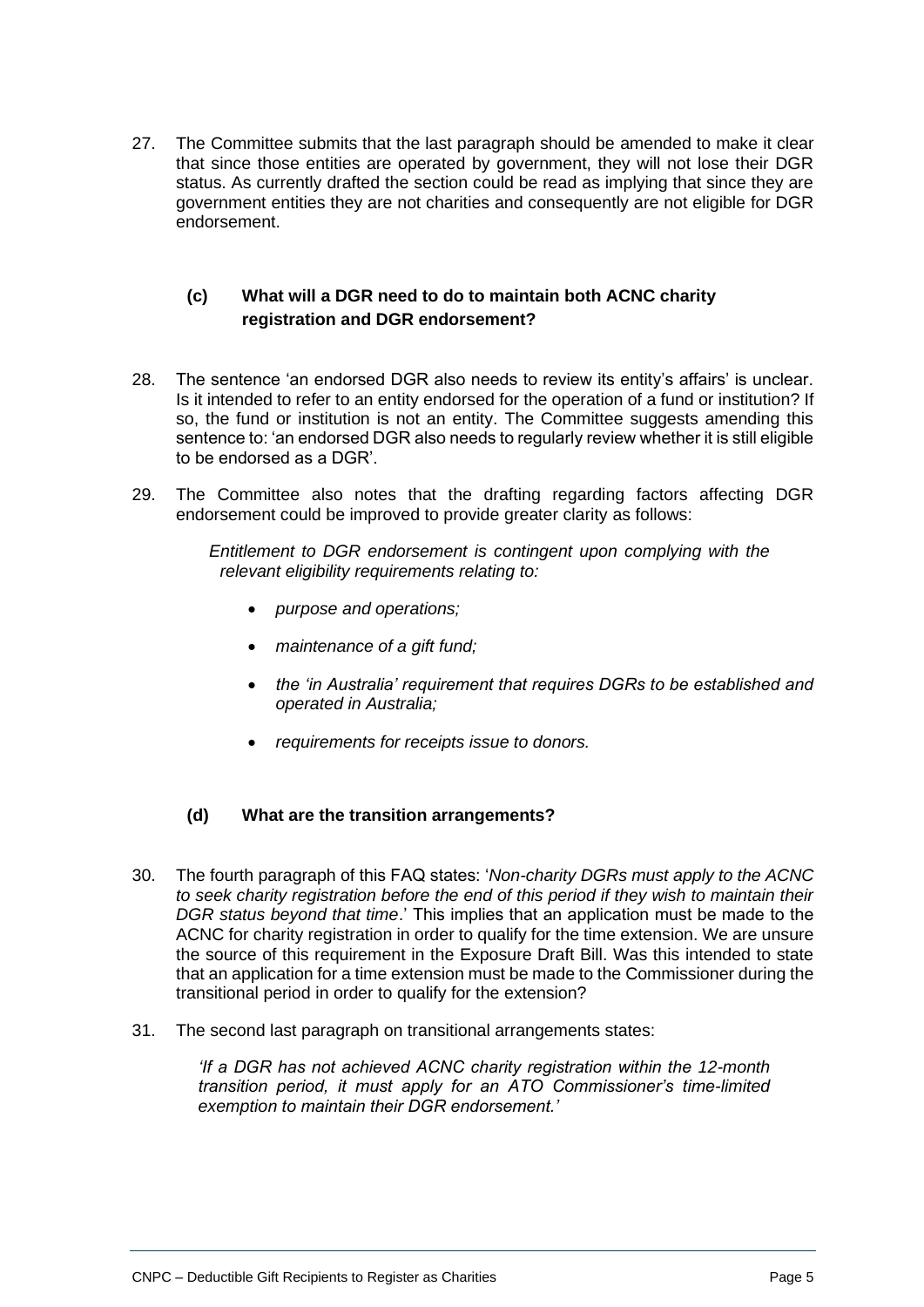27. The Committee submits that the last paragraph should be amended to make it clear that since those entities are operated by government, they will not lose their DGR status. As currently drafted the section could be read as implying that since they are government entities they are not charities and consequently are not eligible for DGR endorsement.

## **(c) What will a DGR need to do to maintain both ACNC charity registration and DGR endorsement?**

- 28. The sentence 'an endorsed DGR also needs to review its entity's affairs' is unclear. Is it intended to refer to an entity endorsed for the operation of a fund or institution? If so, the fund or institution is not an entity. The Committee suggests amending this sentence to: 'an endorsed DGR also needs to regularly review whether it is still eligible to be endorsed as a DGR'.
- 29. The Committee also notes that the drafting regarding factors affecting DGR endorsement could be improved to provide greater clarity as follows:

*Entitlement to DGR endorsement is contingent upon complying with the relevant eligibility requirements relating to:*

- *purpose and operations;*
- *maintenance of a gift fund;*
- *the 'in Australia' requirement that requires DGRs to be established and operated in Australia;*
- *requirements for receipts issue to donors.*

## **(d) What are the transition arrangements?**

- 30. The fourth paragraph of this FAQ states: '*Non-charity DGRs must apply to the ACNC to seek charity registration before the end of this period if they wish to maintain their DGR status beyond that time*.' This implies that an application must be made to the ACNC for charity registration in order to qualify for the time extension. We are unsure the source of this requirement in the Exposure Draft Bill. Was this intended to state that an application for a time extension must be made to the Commissioner during the transitional period in order to qualify for the extension?
- 31. The second last paragraph on transitional arrangements states:

*'If a DGR has not achieved ACNC charity registration within the 12-month transition period, it must apply for an ATO Commissioner's time-limited exemption to maintain their DGR endorsement.'*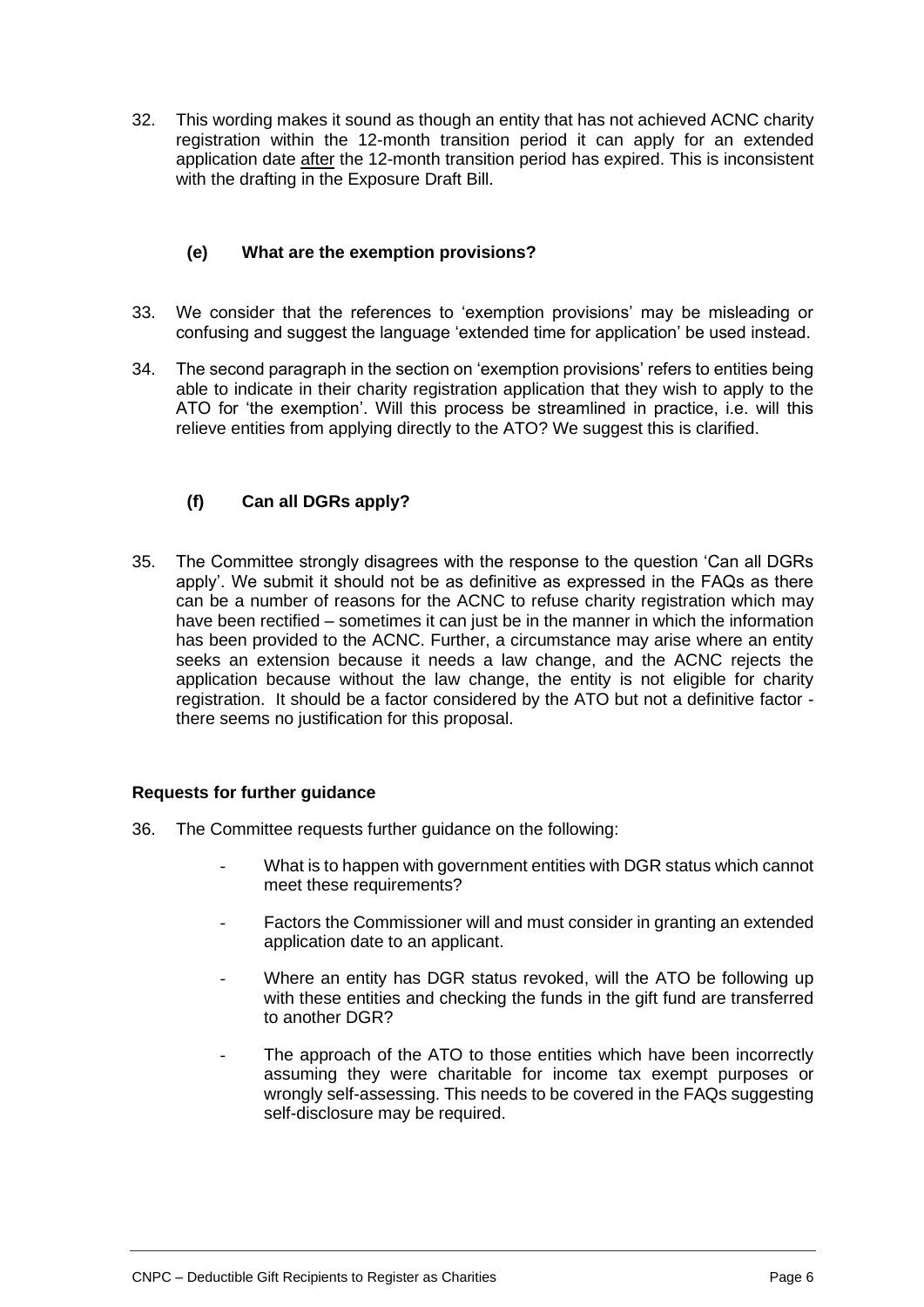32. This wording makes it sound as though an entity that has not achieved ACNC charity registration within the 12-month transition period it can apply for an extended application date after the 12-month transition period has expired. This is inconsistent with the drafting in the Exposure Draft Bill.

## **(e) What are the exemption provisions?**

- 33. We consider that the references to 'exemption provisions' may be misleading or confusing and suggest the language 'extended time for application' be used instead.
- 34. The second paragraph in the section on 'exemption provisions' refers to entities being able to indicate in their charity registration application that they wish to apply to the ATO for 'the exemption'. Will this process be streamlined in practice, i.e. will this relieve entities from applying directly to the ATO? We suggest this is clarified.

## **(f) Can all DGRs apply?**

35. The Committee strongly disagrees with the response to the question 'Can all DGRs apply'. We submit it should not be as definitive as expressed in the FAQs as there can be a number of reasons for the ACNC to refuse charity registration which may have been rectified – sometimes it can just be in the manner in which the information has been provided to the ACNC. Further, a circumstance may arise where an entity seeks an extension because it needs a law change, and the ACNC rejects the application because without the law change, the entity is not eligible for charity registration. It should be a factor considered by the ATO but not a definitive factor there seems no justification for this proposal.

#### **Requests for further guidance**

- 36. The Committee requests further guidance on the following:
	- What is to happen with government entities with DGR status which cannot meet these requirements?
	- Factors the Commissioner will and must consider in granting an extended application date to an applicant.
	- Where an entity has DGR status revoked, will the ATO be following up with these entities and checking the funds in the gift fund are transferred to another DGR?
	- The approach of the ATO to those entities which have been incorrectly assuming they were charitable for income tax exempt purposes or wrongly self-assessing. This needs to be covered in the FAQs suggesting self-disclosure may be required.